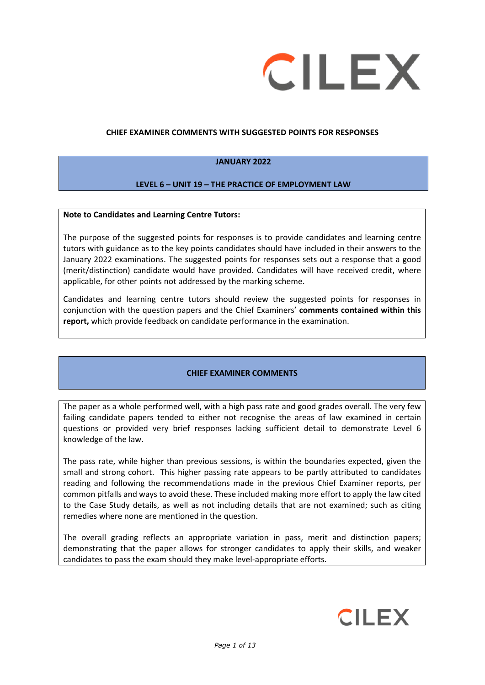

#### **CHIEF EXAMINER COMMENTS WITH SUGGESTED POINTS FOR RESPONSES**

## **JANUARY 2022**

#### **LEVEL 6 – UNIT 19 – THE PRACTICE OF EMPLOYMENT LAW**

#### **Note to Candidates and Learning Centre Tutors:**

The purpose of the suggested points for responses is to provide candidates and learning centre tutors with guidance as to the key points candidates should have included in their answers to the January 2022 examinations. The suggested points for responses sets out a response that a good (merit/distinction) candidate would have provided. Candidates will have received credit, where applicable, for other points not addressed by the marking scheme.

Candidates and learning centre tutors should review the suggested points for responses in conjunction with the question papers and the Chief Examiners' **comments contained within this report,** which provide feedback on candidate performance in the examination.

#### **CHIEF EXAMINER COMMENTS**

The paper as a whole performed well, with a high pass rate and good grades overall. The very few failing candidate papers tended to either not recognise the areas of law examined in certain questions or provided very brief responses lacking sufficient detail to demonstrate Level 6 knowledge of the law.

The pass rate, while higher than previous sessions, is within the boundaries expected, given the small and strong cohort. This higher passing rate appears to be partly attributed to candidates reading and following the recommendations made in the previous Chief Examiner reports, per common pitfalls and ways to avoid these. These included making more effort to apply the law cited to the Case Study details, as well as not including details that are not examined; such as citing remedies where none are mentioned in the question.

The overall grading reflects an appropriate variation in pass, merit and distinction papers; demonstrating that the paper allows for stronger candidates to apply their skills, and weaker candidates to pass the exam should they make level-appropriate efforts.

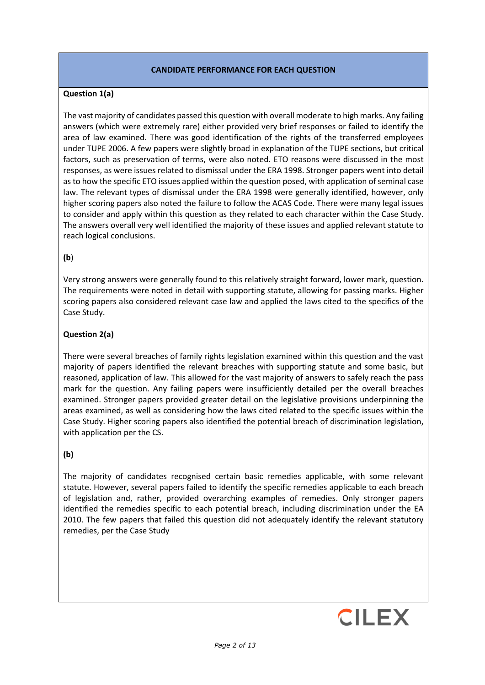## **CANDIDATE PERFORMANCE FOR EACH QUESTION**

## **Question 1(a)**

The vast majority of candidates passed this question with overall moderate to high marks. Any failing answers (which were extremely rare) either provided very brief responses or failed to identify the area of law examined. There was good identification of the rights of the transferred employees under TUPE 2006. A few papers were slightly broad in explanation of the TUPE sections, but critical factors, such as preservation of terms, were also noted. ETO reasons were discussed in the most responses, as were issues related to dismissal under the ERA 1998. Stronger papers went into detail as to how the specific ETO issues applied within the question posed, with application of seminal case law. The relevant types of dismissal under the ERA 1998 were generally identified, however, only higher scoring papers also noted the failure to follow the ACAS Code. There were many legal issues to consider and apply within this question as they related to each character within the Case Study. The answers overall very well identified the majority of these issues and applied relevant statute to reach logical conclusions.

## **(b**)

Very strong answers were generally found to this relatively straight forward, lower mark, question. The requirements were noted in detail with supporting statute, allowing for passing marks. Higher scoring papers also considered relevant case law and applied the laws cited to the specifics of the Case Study.

## **Question 2(a)**

There were several breaches of family rights legislation examined within this question and the vast majority of papers identified the relevant breaches with supporting statute and some basic, but reasoned, application of law. This allowed for the vast majority of answers to safely reach the pass mark for the question. Any failing papers were insufficiently detailed per the overall breaches examined. Stronger papers provided greater detail on the legislative provisions underpinning the areas examined, as well as considering how the laws cited related to the specific issues within the Case Study. Higher scoring papers also identified the potential breach of discrimination legislation, with application per the CS.

## **(b)**

The majority of candidates recognised certain basic remedies applicable, with some relevant statute. However, several papers failed to identify the specific remedies applicable to each breach of legislation and, rather, provided overarching examples of remedies. Only stronger papers identified the remedies specific to each potential breach, including discrimination under the EA 2010. The few papers that failed this question did not adequately identify the relevant statutory remedies, per the Case Study

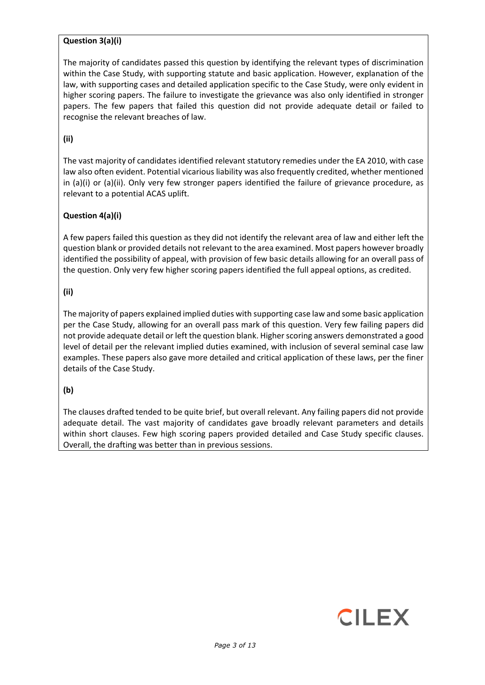## **Question 3(a)(i)**

The majority of candidates passed this question by identifying the relevant types of discrimination within the Case Study, with supporting statute and basic application. However, explanation of the law, with supporting cases and detailed application specific to the Case Study, were only evident in higher scoring papers. The failure to investigate the grievance was also only identified in stronger papers. The few papers that failed this question did not provide adequate detail or failed to recognise the relevant breaches of law.

# **(ii)**

The vast majority of candidates identified relevant statutory remedies under the EA 2010, with case law also often evident. Potential vicarious liability was also frequently credited, whether mentioned in (a)(i) or (a)(ii). Only very few stronger papers identified the failure of grievance procedure, as relevant to a potential ACAS uplift.

# **Question 4(a)(i)**

A few papers failed this question as they did not identify the relevant area of law and either left the question blank or provided details not relevant to the area examined. Most papers however broadly identified the possibility of appeal, with provision of few basic details allowing for an overall pass of the question. Only very few higher scoring papers identified the full appeal options, as credited.

## **(ii)**

The majority of papers explained implied duties with supporting case law and some basic application per the Case Study, allowing for an overall pass mark of this question. Very few failing papers did not provide adequate detail or left the question blank. Higher scoring answers demonstrated a good level of detail per the relevant implied duties examined, with inclusion of several seminal case law examples. These papers also gave more detailed and critical application of these laws, per the finer details of the Case Study.

## **(b)**

The clauses drafted tended to be quite brief, but overall relevant. Any failing papers did not provide adequate detail. The vast majority of candidates gave broadly relevant parameters and details within short clauses. Few high scoring papers provided detailed and Case Study specific clauses. Overall, the drafting was better than in previous sessions.

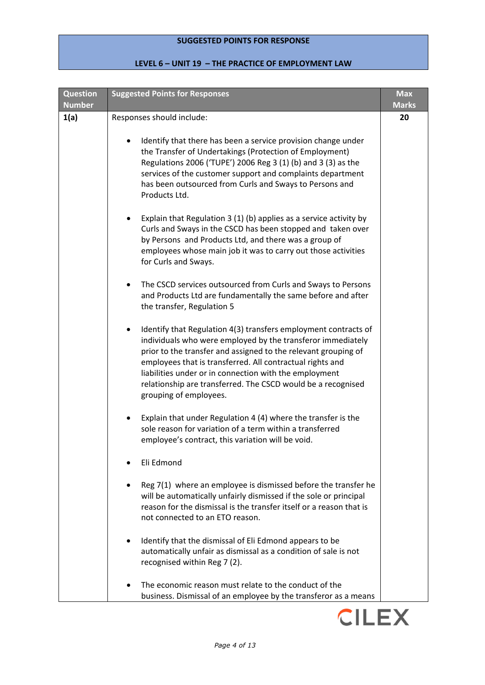# **SUGGESTED POINTS FOR RESPONSE**

|  |  | LEVEL 6 – UNIT 19 – THE PRACTICE OF EMPLOYMENT LAW |
|--|--|----------------------------------------------------|
|--|--|----------------------------------------------------|

| <b>Question</b><br><b>Number</b> | <b>Suggested Points for Responses</b>                                                                                                                                                                                                                                                                                                                                                                             | <b>Max</b><br><b>Marks</b> |
|----------------------------------|-------------------------------------------------------------------------------------------------------------------------------------------------------------------------------------------------------------------------------------------------------------------------------------------------------------------------------------------------------------------------------------------------------------------|----------------------------|
| 1(a)                             | Responses should include:                                                                                                                                                                                                                                                                                                                                                                                         | 20                         |
|                                  | Identify that there has been a service provision change under<br>the Transfer of Undertakings (Protection of Employment)<br>Regulations 2006 ('TUPE') 2006 Reg 3 (1) (b) and 3 (3) as the<br>services of the customer support and complaints department<br>has been outsourced from Curls and Sways to Persons and<br>Products Ltd.                                                                               |                            |
|                                  | Explain that Regulation 3 (1) (b) applies as a service activity by<br>$\bullet$<br>Curls and Sways in the CSCD has been stopped and taken over<br>by Persons and Products Ltd, and there was a group of<br>employees whose main job it was to carry out those activities<br>for Curls and Sways.                                                                                                                  |                            |
|                                  | The CSCD services outsourced from Curls and Sways to Persons<br>and Products Ltd are fundamentally the same before and after<br>the transfer, Regulation 5                                                                                                                                                                                                                                                        |                            |
|                                  | Identify that Regulation 4(3) transfers employment contracts of<br>individuals who were employed by the transferor immediately<br>prior to the transfer and assigned to the relevant grouping of<br>employees that is transferred. All contractual rights and<br>liabilities under or in connection with the employment<br>relationship are transferred. The CSCD would be a recognised<br>grouping of employees. |                            |
|                                  | Explain that under Regulation 4 (4) where the transfer is the<br>sole reason for variation of a term within a transferred<br>employee's contract, this variation will be void.                                                                                                                                                                                                                                    |                            |
|                                  | Eli Edmond                                                                                                                                                                                                                                                                                                                                                                                                        |                            |
|                                  | Reg 7(1) where an employee is dismissed before the transfer he<br>will be automatically unfairly dismissed if the sole or principal<br>reason for the dismissal is the transfer itself or a reason that is<br>not connected to an ETO reason.                                                                                                                                                                     |                            |
|                                  | Identify that the dismissal of Eli Edmond appears to be<br>automatically unfair as dismissal as a condition of sale is not<br>recognised within Reg 7 (2).                                                                                                                                                                                                                                                        |                            |
|                                  | The economic reason must relate to the conduct of the<br>business. Dismissal of an employee by the transferor as a means                                                                                                                                                                                                                                                                                          |                            |

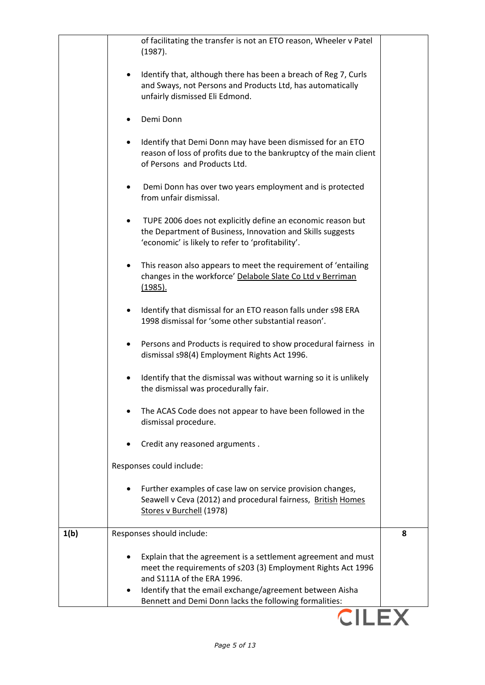|      | of facilitating the transfer is not an ETO reason, Wheeler v Patel<br>(1987).                                                                                                               |   |
|------|---------------------------------------------------------------------------------------------------------------------------------------------------------------------------------------------|---|
|      | Identify that, although there has been a breach of Reg 7, Curls<br>and Sways, not Persons and Products Ltd, has automatically<br>unfairly dismissed Eli Edmond.                             |   |
|      | Demi Donn                                                                                                                                                                                   |   |
|      | Identify that Demi Donn may have been dismissed for an ETO<br>reason of loss of profits due to the bankruptcy of the main client<br>of Persons and Products Ltd.                            |   |
|      | Demi Donn has over two years employment and is protected<br>from unfair dismissal.                                                                                                          |   |
|      | TUPE 2006 does not explicitly define an economic reason but<br>$\bullet$<br>the Department of Business, Innovation and Skills suggests<br>'economic' is likely to refer to 'profitability'. |   |
|      | This reason also appears to meet the requirement of 'entailing<br>changes in the workforce' Delabole Slate Co Ltd v Berriman<br>(1985).                                                     |   |
|      | Identify that dismissal for an ETO reason falls under s98 ERA<br>1998 dismissal for 'some other substantial reason'.                                                                        |   |
|      | Persons and Products is required to show procedural fairness in<br>dismissal s98(4) Employment Rights Act 1996.                                                                             |   |
|      | Identify that the dismissal was without warning so it is unlikely<br>the dismissal was procedurally fair.                                                                                   |   |
|      | The ACAS Code does not appear to have been followed in the<br>dismissal procedure.                                                                                                          |   |
|      | Credit any reasoned arguments.                                                                                                                                                              |   |
|      | Responses could include:                                                                                                                                                                    |   |
|      | Further examples of case law on service provision changes,<br>Seawell v Ceva (2012) and procedural fairness, British Homes<br>Stores v Burchell (1978)                                      |   |
| 1(b) | Responses should include:                                                                                                                                                                   | 8 |
|      | Explain that the agreement is a settlement agreement and must<br>meet the requirements of s203 (3) Employment Rights Act 1996<br>and S111A of the ERA 1996.                                 |   |
|      | Identify that the email exchange/agreement between Aisha<br>Bennett and Demi Donn lacks the following formalities:                                                                          |   |
|      | CILEX                                                                                                                                                                                       |   |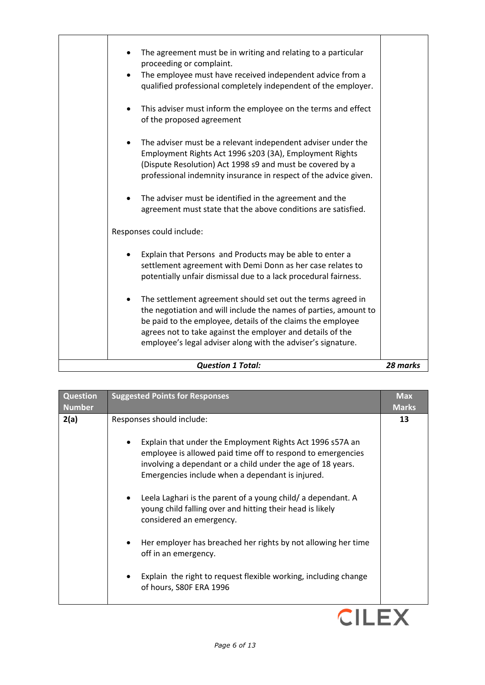| The agreement must be in writing and relating to a particular<br>proceeding or complaint.<br>The employee must have received independent advice from a<br>qualified professional completely independent of the employer.<br>This adviser must inform the employee on the terms and effect<br>of the proposed agreement<br>The adviser must be a relevant independent adviser under the<br>Employment Rights Act 1996 s203 (3A), Employment Rights<br>(Dispute Resolution) Act 1998 s9 and must be covered by a<br>professional indemnity insurance in respect of the advice given.<br>The adviser must be identified in the agreement and the<br>agreement must state that the above conditions are satisfied. |          |
|----------------------------------------------------------------------------------------------------------------------------------------------------------------------------------------------------------------------------------------------------------------------------------------------------------------------------------------------------------------------------------------------------------------------------------------------------------------------------------------------------------------------------------------------------------------------------------------------------------------------------------------------------------------------------------------------------------------|----------|
| Responses could include:                                                                                                                                                                                                                                                                                                                                                                                                                                                                                                                                                                                                                                                                                       |          |
| Explain that Persons and Products may be able to enter a<br>settlement agreement with Demi Donn as her case relates to<br>potentially unfair dismissal due to a lack procedural fairness.<br>The settlement agreement should set out the terms agreed in<br>the negotiation and will include the names of parties, amount to<br>be paid to the employee, details of the claims the employee<br>agrees not to take against the employer and details of the<br>employee's legal adviser along with the adviser's signature.                                                                                                                                                                                      |          |
| <b>Question 1 Total:</b>                                                                                                                                                                                                                                                                                                                                                                                                                                                                                                                                                                                                                                                                                       | 28 marks |

| <b>Question</b><br><b>Number</b> | <b>Suggested Points for Responses</b>                                                                                                                                                                                                                                                                                                                                                                                                                                                                                                                                                                                    | <b>Max</b><br><b>Marks</b> |
|----------------------------------|--------------------------------------------------------------------------------------------------------------------------------------------------------------------------------------------------------------------------------------------------------------------------------------------------------------------------------------------------------------------------------------------------------------------------------------------------------------------------------------------------------------------------------------------------------------------------------------------------------------------------|----------------------------|
| 2(a)                             | Responses should include:<br>Explain that under the Employment Rights Act 1996 s57A an<br>employee is allowed paid time off to respond to emergencies<br>involving a dependant or a child under the age of 18 years.<br>Emergencies include when a dependant is injured.<br>Leela Laghari is the parent of a young child/ a dependant. A<br>young child falling over and hitting their head is likely<br>considered an emergency.<br>Her employer has breached her rights by not allowing her time<br>off in an emergency.<br>Explain the right to request flexible working, including change<br>of hours, S80F ERA 1996 | 13                         |
|                                  |                                                                                                                                                                                                                                                                                                                                                                                                                                                                                                                                                                                                                          |                            |

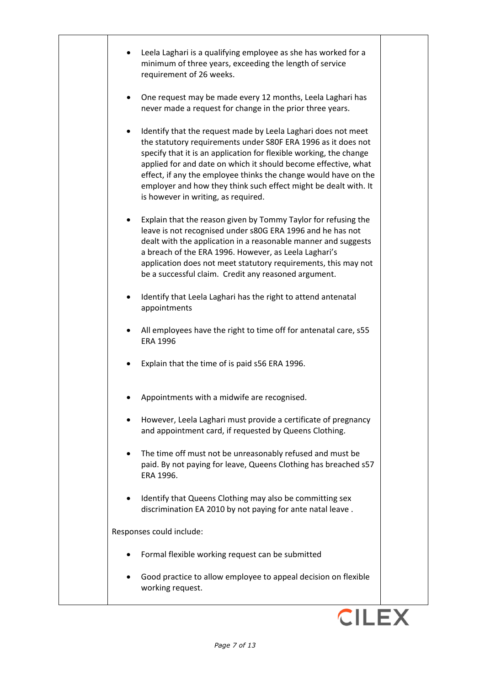| Leela Laghari is a qualifying employee as she has worked for a<br>minimum of three years, exceeding the length of service<br>requirement of 26 weeks.                                                                                                                                                                                                                                                                                                            |  |
|------------------------------------------------------------------------------------------------------------------------------------------------------------------------------------------------------------------------------------------------------------------------------------------------------------------------------------------------------------------------------------------------------------------------------------------------------------------|--|
| One request may be made every 12 months, Leela Laghari has<br>$\bullet$<br>never made a request for change in the prior three years.                                                                                                                                                                                                                                                                                                                             |  |
| Identify that the request made by Leela Laghari does not meet<br>$\bullet$<br>the statutory requirements under S80F ERA 1996 as it does not<br>specify that it is an application for flexible working, the change<br>applied for and date on which it should become effective, what<br>effect, if any the employee thinks the change would have on the<br>employer and how they think such effect might be dealt with. It<br>is however in writing, as required. |  |
| Explain that the reason given by Tommy Taylor for refusing the<br>$\bullet$<br>leave is not recognised under s80G ERA 1996 and he has not<br>dealt with the application in a reasonable manner and suggests<br>a breach of the ERA 1996. However, as Leela Laghari's<br>application does not meet statutory requirements, this may not<br>be a successful claim. Credit any reasoned argument.                                                                   |  |
| Identify that Leela Laghari has the right to attend antenatal<br>appointments                                                                                                                                                                                                                                                                                                                                                                                    |  |
| All employees have the right to time off for antenatal care, s55<br><b>ERA 1996</b>                                                                                                                                                                                                                                                                                                                                                                              |  |
| Explain that the time of is paid s56 ERA 1996.                                                                                                                                                                                                                                                                                                                                                                                                                   |  |
| Appointments with a midwife are recognised.                                                                                                                                                                                                                                                                                                                                                                                                                      |  |
| However, Leela Laghari must provide a certificate of pregnancy<br>and appointment card, if requested by Queens Clothing.                                                                                                                                                                                                                                                                                                                                         |  |
| The time off must not be unreasonably refused and must be<br>paid. By not paying for leave, Queens Clothing has breached s57<br>ERA 1996.                                                                                                                                                                                                                                                                                                                        |  |
| Identify that Queens Clothing may also be committing sex<br>discrimination EA 2010 by not paying for ante natal leave.                                                                                                                                                                                                                                                                                                                                           |  |
| Responses could include:                                                                                                                                                                                                                                                                                                                                                                                                                                         |  |
| Formal flexible working request can be submitted                                                                                                                                                                                                                                                                                                                                                                                                                 |  |
| Good practice to allow employee to appeal decision on flexible<br>working request.                                                                                                                                                                                                                                                                                                                                                                               |  |

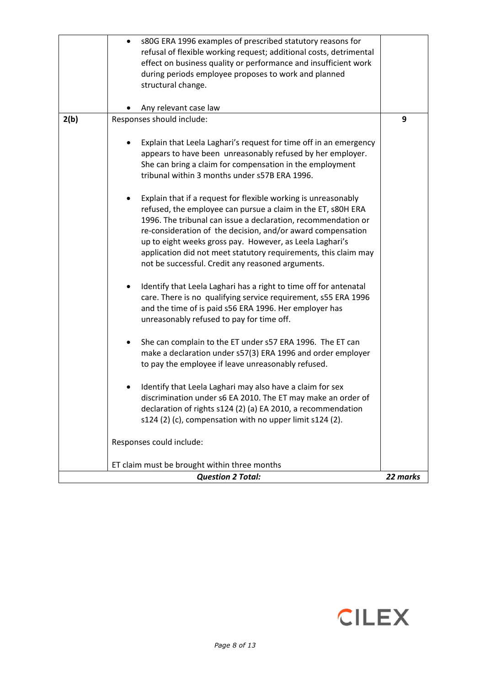| refusal of flexible working request; additional costs, detrimental<br>effect on business quality or performance and insufficient work<br>during periods employee proposes to work and planned<br>structural change.                                                                                                                                                              |          |
|----------------------------------------------------------------------------------------------------------------------------------------------------------------------------------------------------------------------------------------------------------------------------------------------------------------------------------------------------------------------------------|----------|
| Any relevant case law                                                                                                                                                                                                                                                                                                                                                            |          |
| 2(b)<br>Responses should include:                                                                                                                                                                                                                                                                                                                                                | 9        |
| Explain that Leela Laghari's request for time off in an emergency<br>appears to have been unreasonably refused by her employer.<br>She can bring a claim for compensation in the employment<br>tribunal within 3 months under s57B ERA 1996.<br>Explain that if a request for flexible working is unreasonably                                                                   |          |
| refused, the employee can pursue a claim in the ET, s80H ERA<br>1996. The tribunal can issue a declaration, recommendation or<br>re-consideration of the decision, and/or award compensation<br>up to eight weeks gross pay. However, as Leela Laghari's<br>application did not meet statutory requirements, this claim may<br>not be successful. Credit any reasoned arguments. |          |
| Identify that Leela Laghari has a right to time off for antenatal<br>care. There is no qualifying service requirement, s55 ERA 1996<br>and the time of is paid s56 ERA 1996. Her employer has<br>unreasonably refused to pay for time off.                                                                                                                                       |          |
| She can complain to the ET under s57 ERA 1996. The ET can<br>make a declaration under s57(3) ERA 1996 and order employer<br>to pay the employee if leave unreasonably refused.                                                                                                                                                                                                   |          |
| Identify that Leela Laghari may also have a claim for sex<br>discrimination under s6 EA 2010. The ET may make an order of<br>declaration of rights s124 (2) (a) EA 2010, a recommendation<br>s124 (2) (c), compensation with no upper limit s124 (2).                                                                                                                            |          |
| Responses could include:                                                                                                                                                                                                                                                                                                                                                         |          |
| ET claim must be brought within three months                                                                                                                                                                                                                                                                                                                                     |          |
| <b>Question 2 Total:</b>                                                                                                                                                                                                                                                                                                                                                         | 22 marks |

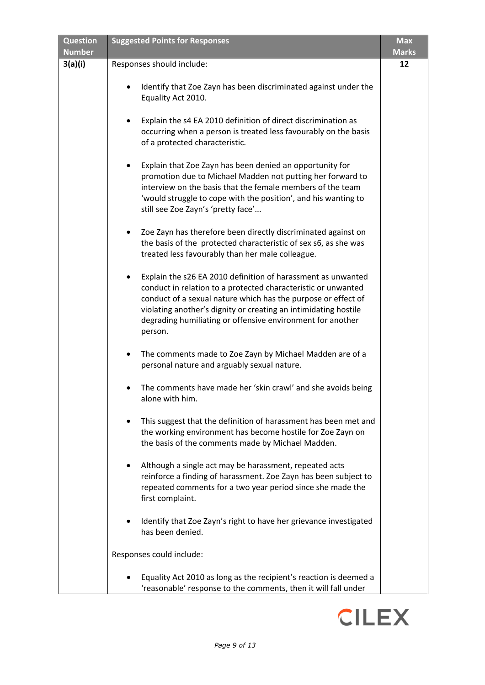| <b>Question</b><br><b>Number</b> | <b>Suggested Points for Responses</b>                                                                                                                                                                                                                                                                                                                   | <b>Max</b><br><b>Marks</b> |
|----------------------------------|---------------------------------------------------------------------------------------------------------------------------------------------------------------------------------------------------------------------------------------------------------------------------------------------------------------------------------------------------------|----------------------------|
| 3(a)(i)                          | Responses should include:                                                                                                                                                                                                                                                                                                                               | 12                         |
|                                  | Identify that Zoe Zayn has been discriminated against under the<br>Equality Act 2010.                                                                                                                                                                                                                                                                   |                            |
|                                  | Explain the s4 EA 2010 definition of direct discrimination as<br>occurring when a person is treated less favourably on the basis<br>of a protected characteristic.                                                                                                                                                                                      |                            |
|                                  | Explain that Zoe Zayn has been denied an opportunity for<br>$\bullet$<br>promotion due to Michael Madden not putting her forward to<br>interview on the basis that the female members of the team<br>'would struggle to cope with the position', and his wanting to<br>still see Zoe Zayn's 'pretty face'                                               |                            |
|                                  | Zoe Zayn has therefore been directly discriminated against on<br>the basis of the protected characteristic of sex s6, as she was<br>treated less favourably than her male colleague.                                                                                                                                                                    |                            |
|                                  | Explain the s26 EA 2010 definition of harassment as unwanted<br>$\bullet$<br>conduct in relation to a protected characteristic or unwanted<br>conduct of a sexual nature which has the purpose or effect of<br>violating another's dignity or creating an intimidating hostile<br>degrading humiliating or offensive environment for another<br>person. |                            |
|                                  | The comments made to Zoe Zayn by Michael Madden are of a<br>٠<br>personal nature and arguably sexual nature.                                                                                                                                                                                                                                            |                            |
|                                  | The comments have made her 'skin crawl' and she avoids being<br>alone with him.                                                                                                                                                                                                                                                                         |                            |
|                                  | This suggest that the definition of harassment has been met and<br>the working environment has become hostile for Zoe Zayn on<br>the basis of the comments made by Michael Madden.                                                                                                                                                                      |                            |
|                                  | Although a single act may be harassment, repeated acts<br>$\bullet$<br>reinforce a finding of harassment. Zoe Zayn has been subject to<br>repeated comments for a two year period since she made the<br>first complaint.                                                                                                                                |                            |
|                                  | Identify that Zoe Zayn's right to have her grievance investigated<br>has been denied.                                                                                                                                                                                                                                                                   |                            |
|                                  | Responses could include:                                                                                                                                                                                                                                                                                                                                |                            |
|                                  | Equality Act 2010 as long as the recipient's reaction is deemed a<br>'reasonable' response to the comments, then it will fall under                                                                                                                                                                                                                     |                            |

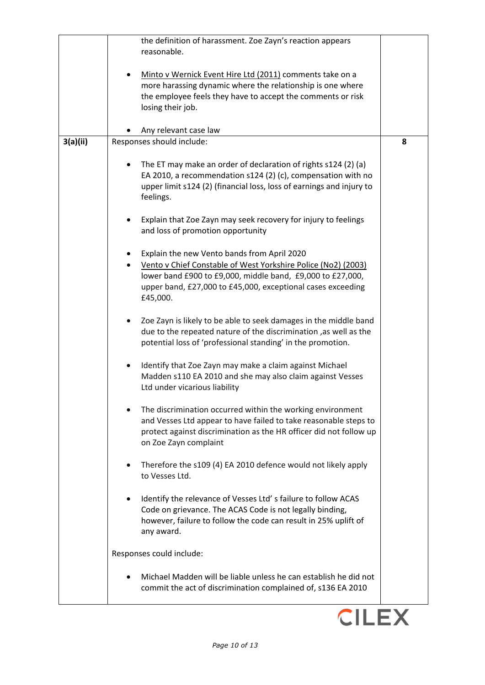|          | the definition of harassment. Zoe Zayn's reaction appears<br>reasonable.                                                                                                                                                                                                                   |   |
|----------|--------------------------------------------------------------------------------------------------------------------------------------------------------------------------------------------------------------------------------------------------------------------------------------------|---|
|          | Minto v Wernick Event Hire Ltd (2011) comments take on a<br>more harassing dynamic where the relationship is one where<br>the employee feels they have to accept the comments or risk<br>losing their job.<br>Any relevant case law                                                        |   |
| 3(a)(ii) | Responses should include:                                                                                                                                                                                                                                                                  | 8 |
|          | The ET may make an order of declaration of rights s124 (2) (a)<br>EA 2010, a recommendation s124 (2) (c), compensation with no<br>upper limit s124 (2) (financial loss, loss of earnings and injury to<br>feelings.<br>Explain that Zoe Zayn may seek recovery for injury to feelings<br>٠ |   |
|          | and loss of promotion opportunity                                                                                                                                                                                                                                                          |   |
|          | Explain the new Vento bands from April 2020<br>Vento v Chief Constable of West Yorkshire Police (No2) (2003)<br>$\bullet$<br>lower band £900 to £9,000, middle band, £9,000 to £27,000,<br>upper band, £27,000 to £45,000, exceptional cases exceeding<br>£45,000.                         |   |
|          | Zoe Zayn is likely to be able to seek damages in the middle band<br>due to the repeated nature of the discrimination, as well as the<br>potential loss of 'professional standing' in the promotion.                                                                                        |   |
|          | Identify that Zoe Zayn may make a claim against Michael<br>Madden s110 EA 2010 and she may also claim against Vesses<br>Ltd under vicarious liability                                                                                                                                      |   |
|          | The discrimination occurred within the working environment<br>and Vesses Ltd appear to have failed to take reasonable steps to<br>protect against discrimination as the HR officer did not follow up<br>on Zoe Zayn complaint                                                              |   |
|          | Therefore the s109 (4) EA 2010 defence would not likely apply<br>to Vesses Ltd.                                                                                                                                                                                                            |   |
|          | Identify the relevance of Vesses Ltd's failure to follow ACAS<br>Code on grievance. The ACAS Code is not legally binding,<br>however, failure to follow the code can result in 25% uplift of<br>any award.                                                                                 |   |
|          | Responses could include:                                                                                                                                                                                                                                                                   |   |
|          | Michael Madden will be liable unless he can establish he did not<br>commit the act of discrimination complained of, s136 EA 2010                                                                                                                                                           |   |

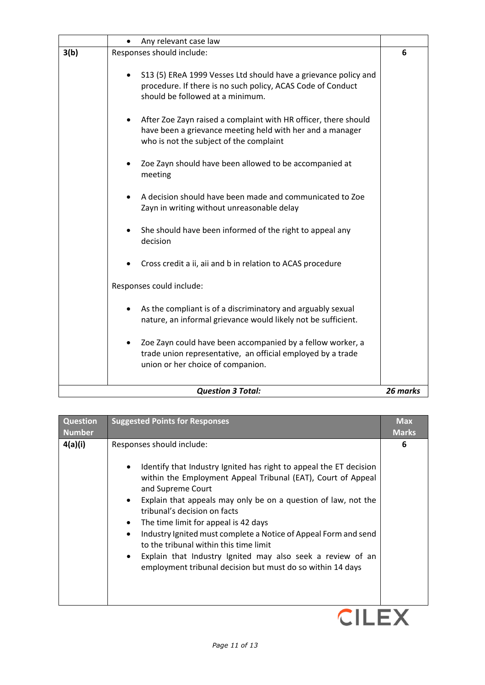|      | Any relevant case law<br>$\bullet$                                                                                                                                                   |          |
|------|--------------------------------------------------------------------------------------------------------------------------------------------------------------------------------------|----------|
| 3(b) | Responses should include:                                                                                                                                                            | 6        |
|      | S13 (5) EReA 1999 Vesses Ltd should have a grievance policy and<br>procedure. If there is no such policy, ACAS Code of Conduct<br>should be followed at a minimum.                   |          |
|      | After Zoe Zayn raised a complaint with HR officer, there should<br>$\bullet$<br>have been a grievance meeting held with her and a manager<br>who is not the subject of the complaint |          |
|      | Zoe Zayn should have been allowed to be accompanied at<br>meeting                                                                                                                    |          |
|      | A decision should have been made and communicated to Zoe<br>Zayn in writing without unreasonable delay                                                                               |          |
|      | She should have been informed of the right to appeal any<br>decision                                                                                                                 |          |
|      | Cross credit a ii, aii and b in relation to ACAS procedure                                                                                                                           |          |
|      | Responses could include:                                                                                                                                                             |          |
|      | As the compliant is of a discriminatory and arguably sexual<br>nature, an informal grievance would likely not be sufficient.                                                         |          |
|      | Zoe Zayn could have been accompanied by a fellow worker, a<br>$\bullet$<br>trade union representative, an official employed by a trade<br>union or her choice of companion.          |          |
|      | <b>Question 3 Total:</b>                                                                                                                                                             | 26 marks |

| <b>Question</b> | <b>Suggested Points for Responses</b>                                                                                                                                                                                                                                                                                                                                                                                                                                                                                                                                                | <b>Max</b>   |
|-----------------|--------------------------------------------------------------------------------------------------------------------------------------------------------------------------------------------------------------------------------------------------------------------------------------------------------------------------------------------------------------------------------------------------------------------------------------------------------------------------------------------------------------------------------------------------------------------------------------|--------------|
| <b>Number</b>   |                                                                                                                                                                                                                                                                                                                                                                                                                                                                                                                                                                                      | <b>Marks</b> |
| 4(a)(i)         | Responses should include:<br>Identify that Industry Ignited has right to appeal the ET decision<br>within the Employment Appeal Tribunal (EAT), Court of Appeal<br>and Supreme Court<br>Explain that appeals may only be on a question of law, not the<br>tribunal's decision on facts<br>The time limit for appeal is 42 days<br>Industry Ignited must complete a Notice of Appeal Form and send<br>$\bullet$<br>to the tribunal within this time limit<br>Explain that Industry Ignited may also seek a review of an<br>employment tribunal decision but must do so within 14 days | 6            |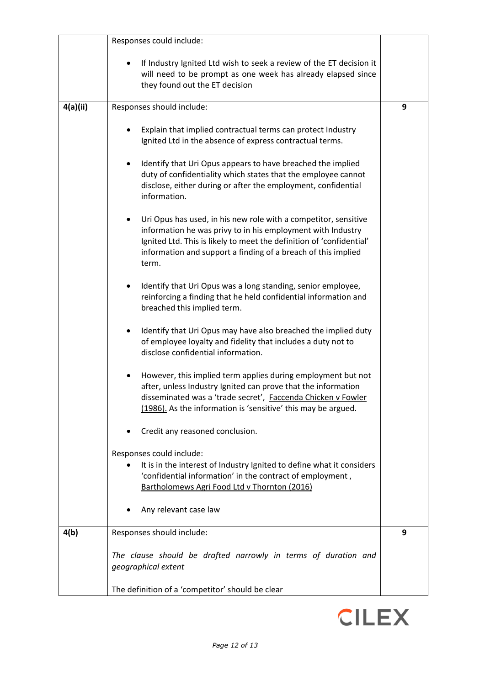|          | Responses could include:                                                                                                                                                                                                                                                              |   |
|----------|---------------------------------------------------------------------------------------------------------------------------------------------------------------------------------------------------------------------------------------------------------------------------------------|---|
|          | If Industry Ignited Ltd wish to seek a review of the ET decision it<br>will need to be prompt as one week has already elapsed since<br>they found out the ET decision                                                                                                                 |   |
| 4(a)(ii) | Responses should include:                                                                                                                                                                                                                                                             | 9 |
|          | Explain that implied contractual terms can protect Industry<br>Ignited Ltd in the absence of express contractual terms.                                                                                                                                                               |   |
|          | Identify that Uri Opus appears to have breached the implied<br>٠<br>duty of confidentiality which states that the employee cannot<br>disclose, either during or after the employment, confidential<br>information.                                                                    |   |
|          | Uri Opus has used, in his new role with a competitor, sensitive<br>٠<br>information he was privy to in his employment with Industry<br>Ignited Ltd. This is likely to meet the definition of 'confidential'<br>information and support a finding of a breach of this implied<br>term. |   |
|          | Identify that Uri Opus was a long standing, senior employee,<br>reinforcing a finding that he held confidential information and<br>breached this implied term.                                                                                                                        |   |
|          | Identify that Uri Opus may have also breached the implied duty<br>٠<br>of employee loyalty and fidelity that includes a duty not to<br>disclose confidential information.                                                                                                             |   |
|          | However, this implied term applies during employment but not<br>after, unless Industry Ignited can prove that the information<br>disseminated was a 'trade secret', Faccenda Chicken v Fowler<br>(1986). As the information is 'sensitive' this may be argued.                        |   |
|          | Credit any reasoned conclusion.                                                                                                                                                                                                                                                       |   |
|          | Responses could include:<br>It is in the interest of Industry Ignited to define what it considers<br>٠<br>'confidential information' in the contract of employment,<br>Bartholomews Agri Food Ltd v Thornton (2016)                                                                   |   |
|          | Any relevant case law                                                                                                                                                                                                                                                                 |   |
| 4(b)     | Responses should include:                                                                                                                                                                                                                                                             | 9 |
|          | The clause should be drafted narrowly in terms of duration and<br>geographical extent                                                                                                                                                                                                 |   |
|          | The definition of a 'competitor' should be clear                                                                                                                                                                                                                                      |   |